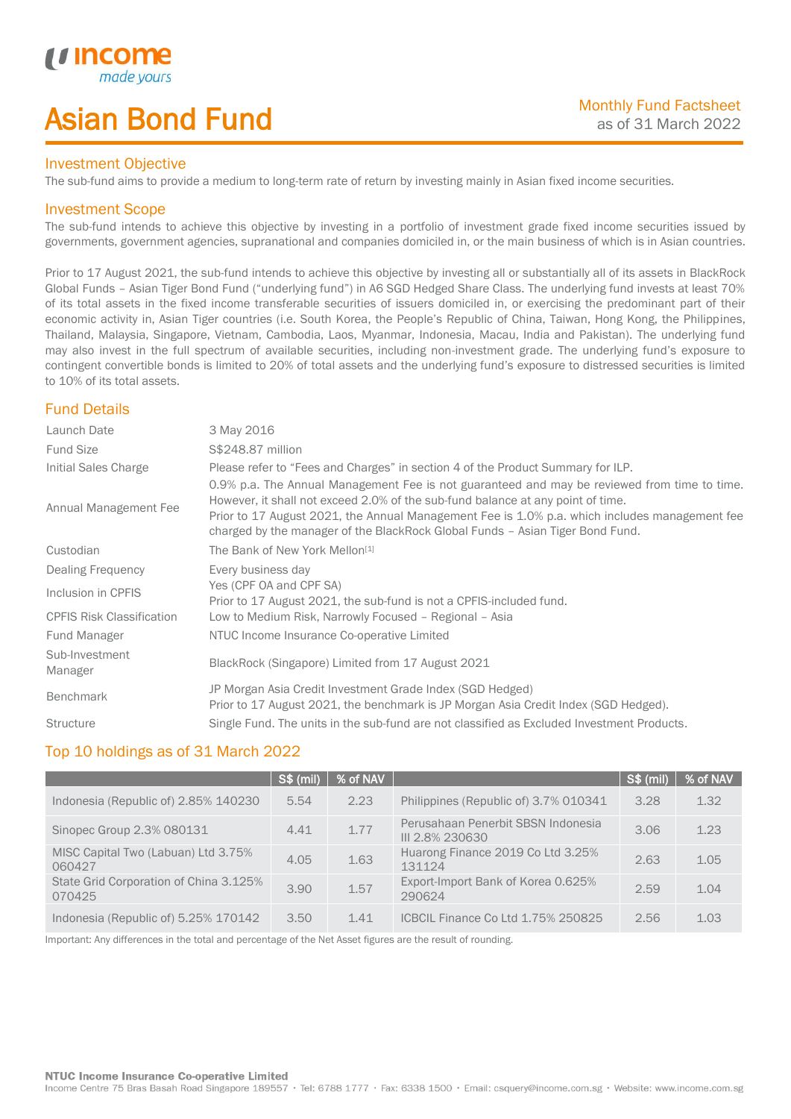# Asian Bond Fund

### Investment Objective

The sub-fund aims to provide a medium to long-term rate of return by investing mainly in Asian fixed income securities.

## Investment Scope

*i i* Incol

I

The sub-fund intends to achieve this objective by investing in a portfolio of investment grade fixed income securities issued by governments, government agencies, supranational and companies domiciled in, or the main business of which is in Asian countries.

Prior to 17 August 2021, the sub-fund intends to achieve this objective by investing all or substantially all of its assets in BlackRock Global Funds – Asian Tiger Bond Fund ("underlying fund") in A6 SGD Hedged Share Class. The underlying fund invests at least 70% of its total assets in the fixed income transferable securities of issuers domiciled in, or exercising the predominant part of their economic activity in, Asian Tiger countries (i.e. South Korea, the People's Republic of China, Taiwan, Hong Kong, the Philippines, Thailand, Malaysia, Singapore, Vietnam, Cambodia, Laos, Myanmar, Indonesia, Macau, India and Pakistan). The underlying fund may also invest in the full spectrum of available securities, including non-investment grade. The underlying fund's exposure to contingent convertible bonds is limited to 20% of total assets and the underlying fund's exposure to distressed securities is limited to 10% of its total assets.

# Fund Details

| Launch Date                      | 3 May 2016                                                                                                                                                                                                                                                                                                                                                        |
|----------------------------------|-------------------------------------------------------------------------------------------------------------------------------------------------------------------------------------------------------------------------------------------------------------------------------------------------------------------------------------------------------------------|
| <b>Fund Size</b>                 | S\$248.87 million                                                                                                                                                                                                                                                                                                                                                 |
| Initial Sales Charge             | Please refer to "Fees and Charges" in section 4 of the Product Summary for ILP.                                                                                                                                                                                                                                                                                   |
| Annual Management Fee            | 0.9% p.a. The Annual Management Fee is not guaranteed and may be reviewed from time to time.<br>However, it shall not exceed 2.0% of the sub-fund balance at any point of time.<br>Prior to 17 August 2021, the Annual Management Fee is 1.0% p.a. which includes management fee<br>charged by the manager of the BlackRock Global Funds - Asian Tiger Bond Fund. |
| Custodian                        | The Bank of New York Mellon <sup>[1]</sup>                                                                                                                                                                                                                                                                                                                        |
| Dealing Frequency                | Every business day                                                                                                                                                                                                                                                                                                                                                |
| Inclusion in CPFIS               | Yes (CPF OA and CPF SA)<br>Prior to 17 August 2021, the sub-fund is not a CPFIS-included fund.                                                                                                                                                                                                                                                                    |
| <b>CPFIS Risk Classification</b> | Low to Medium Risk, Narrowly Focused - Regional - Asia                                                                                                                                                                                                                                                                                                            |
| Fund Manager                     | NTUC Income Insurance Co-operative Limited                                                                                                                                                                                                                                                                                                                        |
| Sub-Investment<br>Manager        | BlackRock (Singapore) Limited from 17 August 2021                                                                                                                                                                                                                                                                                                                 |
| <b>Benchmark</b>                 | JP Morgan Asia Credit Investment Grade Index (SGD Hedged)<br>Prior to 17 August 2021, the benchmark is JP Morgan Asia Credit Index (SGD Hedged).                                                                                                                                                                                                                  |
| <b>Structure</b>                 | Single Fund. The units in the sub-fund are not classified as Excluded Investment Products.                                                                                                                                                                                                                                                                        |

## Top 10 holdings as of 31 March 2022

|                                                  | <b>S\$ (mil)</b> | % of NAV |                                                       | $\sqrt{\text{S}\$(\text{mil})}$ | % of NAV |
|--------------------------------------------------|------------------|----------|-------------------------------------------------------|---------------------------------|----------|
| Indonesia (Republic of) 2.85% 140230             | 5.54             | 2.23     | Philippines (Republic of) 3.7% 010341                 | 3.28                            | 1.32     |
| Sinopec Group 2.3% 080131                        | 4.41             | 1.77     | Perusahaan Penerbit SBSN Indonesia<br>III 2.8% 230630 | 3.06                            | 1.23     |
| MISC Capital Two (Labuan) Ltd 3.75%<br>060427    | 4.05             | 1.63     | Huarong Finance 2019 Co Ltd 3.25%<br>131124           | 2.63                            | 1.05     |
| State Grid Corporation of China 3.125%<br>070425 | 3.90             | 1.57     | Export-Import Bank of Korea 0.625%<br>290624          | 2.59                            | 1.04     |
| Indonesia (Republic of) 5.25% 170142             | 3.50             | 1.41     | ICBCIL Finance Co Ltd 1.75% 250825                    | 2.56                            | 1.03     |

Important: Any differences in the total and percentage of the Net Asset figures are the result of rounding.